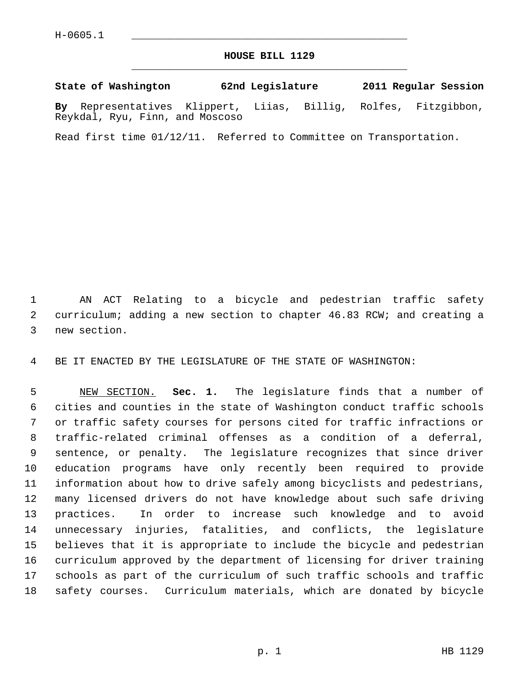## **HOUSE BILL 1129** \_\_\_\_\_\_\_\_\_\_\_\_\_\_\_\_\_\_\_\_\_\_\_\_\_\_\_\_\_\_\_\_\_\_\_\_\_\_\_\_\_\_\_\_\_

## **State of Washington 62nd Legislature 2011 Regular Session**

**By** Representatives Klippert, Liias, Billig, Rolfes, Fitzgibbon, Reykdal, Ryu, Finn, and Moscoso

Read first time 01/12/11. Referred to Committee on Transportation.

 1 AN ACT Relating to a bicycle and pedestrian traffic safety 2 curriculum; adding a new section to chapter 46.83 RCW; and creating a 3 new section.

4 BE IT ENACTED BY THE LEGISLATURE OF THE STATE OF WASHINGTON:

 5 NEW SECTION. **Sec. 1.** The legislature finds that a number of 6 cities and counties in the state of Washington conduct traffic schools 7 or traffic safety courses for persons cited for traffic infractions or 8 traffic-related criminal offenses as a condition of a deferral, 9 sentence, or penalty. The legislature recognizes that since driver 10 education programs have only recently been required to provide 11 information about how to drive safely among bicyclists and pedestrians, 12 many licensed drivers do not have knowledge about such safe driving 13 practices. In order to increase such knowledge and to avoid 14 unnecessary injuries, fatalities, and conflicts, the legislature 15 believes that it is appropriate to include the bicycle and pedestrian 16 curriculum approved by the department of licensing for driver training 17 schools as part of the curriculum of such traffic schools and traffic 18 safety courses. Curriculum materials, which are donated by bicycle